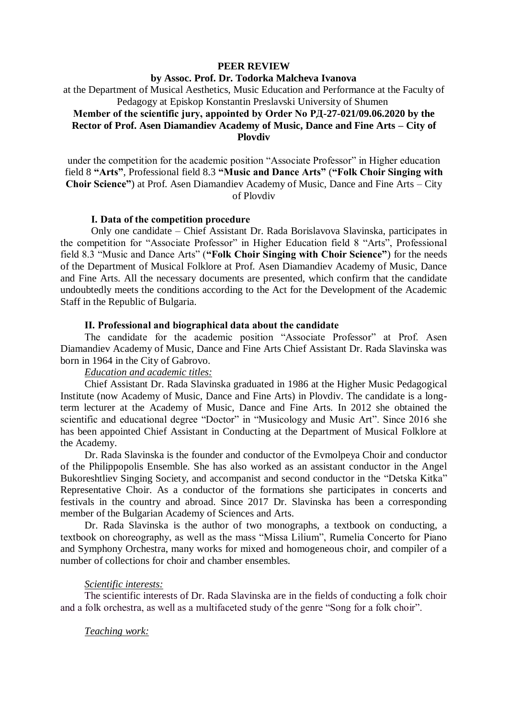# **PEER REVIEW**

#### **by Assoc. Prof. Dr. Todorka Malcheva Ivanova**

at the Department of Musical Aesthetics, Music Education and Performance at the Faculty of Pedagogy at Episkop Konstantin Preslavski University of Shumen

# **Member of the scientific jury, appointed by Order No РД-27-021/09.06.2020 by the Rector of Prof. Asen Diamandiev Academy of Music, Dance and Fine Arts – City of Plovdiv**

under the competition for the academic position "Associate Professor" in Higher education field 8 **"Arts"**, Professional field 8.3 **"Music and Dance Arts"** (**"Folk Choir Singing with Choir Science"**) at Prof. Asen Diamandiev Academy of Music, Dance and Fine Arts – City of Plovdiv

# **І. Data of the competition procedure**

Only one candidate – Chief Assistant Dr. Rada Borislavova Slavinska, participates in the competition for "Associate Professor" in Higher Education field 8 "Arts", Professional field 8.3 "Music and Dance Arts" (**"Folk Choir Singing with Choir Science"**) for the needs of the Department of Musical Folklore at Prof. Asen Diamandiev Academy of Music, Dance and Fine Arts. All the necessary documents are presented, which confirm that the candidate undoubtedly meets the conditions according to the Act for the Development of the Academic Staff in the Republic of Bulgaria.

# **ІІ. Professional and biographical data about the candidate**

The candidate for the academic position "Associate Professor" at Prof. Asen Diamandiev Academy of Music, Dance and Fine Arts Chief Assistant Dr. Rada Slavinska was born in 1964 in the City of Gabrovo.

# *Education and academic titles:*

Chief Assistant Dr. Rada Slavinska graduated in 1986 at the Higher Music Pedagogical Institute (now Academy of Music, Dance and Fine Arts) in Plovdiv. The candidate is a longterm lecturer at the Academy of Music, Dance and Fine Arts. In 2012 she obtained the scientific and educational degree "Doctor" in "Musicology and Music Art". Since 2016 she has been appointed Chief Assistant in Conducting at the Department of Musical Folklore at the Academy.

Dr. Rada Slavinska is the founder and conductor of the Evmolpeya Choir and conductor of the Philippopolis Ensemble. She has also worked as an assistant conductor in the Angel Bukoreshtliev Singing Society, and accompanist and second conductor in the "Detska Kitka" Representative Choir. As a conductor of the formations she participates in concerts and festivals in the country and abroad. Since 2017 Dr. Slavinska has been a corresponding member of the Bulgarian Academy of Sciences and Arts.

Dr. Rada Slavinska is the author of two monographs, a textbook on conducting, a textbook on choreography, as well as the mass "Missa Lilium", Rumelia Concerto for Piano and Symphony Orchestra, many works for mixed and homogeneous choir, and compiler of a number of collections for choir and chamber ensembles.

# *Scientific interests:*

The scientific interests of Dr. Rada Slavinska are in the fields of conducting a folk choir and a folk orchestra, as well as a multifaceted study of the genre "Song for a folk choir".

#### *Teaching work:*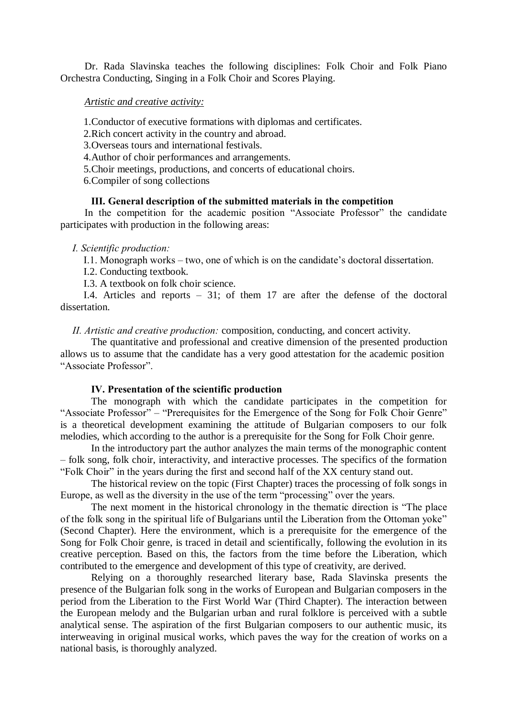Dr. Rada Slavinska teaches the following disciplines: Folk Choir and Folk Piano Orchestra Conducting, Singing in a Folk Choir and Scores Playing.

#### *Artistic and creative activity:*

1.Conductor of executive formations with diplomas and certificates.

2.Rich concert activity in the country and abroad.

3.Overseas tours and international festivals.

4.Author of choir performances and arrangements.

5.Choir meetings, productions, and concerts of educational choirs.

6.Compiler of song collections

#### **ІІІ. General description of the submitted materials in the competition**

In the competition for the academic position "Associate Professor" the candidate participates with production in the following areas:

*І. Scientific production:*

І.1. Monograph works – two, one of which is on the candidate's doctoral dissertation.

I.2. Conducting textbook.

I.3. A textbook on folk choir science.

I.4. Articles and reports – 31; of them 17 are after the defense of the doctoral dissertation.

*ІІ. Artistic and creative production:* composition, conducting, and concert activity.

The quantitative and professional and creative dimension of the presented production allows us to assume that the candidate has a very good attestation for the academic position "Associate Professor".

#### **ІV. Presentation of the scientific production**

The monograph with which the candidate participates in the competition for "Associate Professor" – "Prerequisites for the Emergence of the Song for Folk Choir Genre" is a theoretical development examining the attitude of Bulgarian composers to our folk melodies, which according to the author is a prerequisite for the Song for Folk Choir genre.

In the introductory part the author analyzes the main terms of the monographic content – folk song, folk choir, interactivity, and interactive processes. The specifics of the formation "Folk Choir" in the years during the first and second half of the XX century stand out.

The historical review on the topic (First Chapter) traces the processing of folk songs in Europe, as well as the diversity in the use of the term "processing" over the years.

The next moment in the historical chronology in the thematic direction is "The place of the folk song in the spiritual life of Bulgarians until the Liberation from the Ottoman yoke" (Second Chapter). Here the environment, which is a prerequisite for the emergence of the Song for Folk Choir genre, is traced in detail and scientifically, following the evolution in its creative perception. Based on this, the factors from the time before the Liberation, which contributed to the emergence and development of this type of creativity, are derived.

Relying on a thoroughly researched literary base, Rada Slavinska presents the presence of the Bulgarian folk song in the works of European and Bulgarian composers in the period from the Liberation to the First World War (Third Chapter). The interaction between the European melody and the Bulgarian urban and rural folklore is perceived with a subtle analytical sense. The aspiration of the first Bulgarian composers to our authentic music, its interweaving in original musical works, which paves the way for the creation of works on a national basis, is thoroughly analyzed.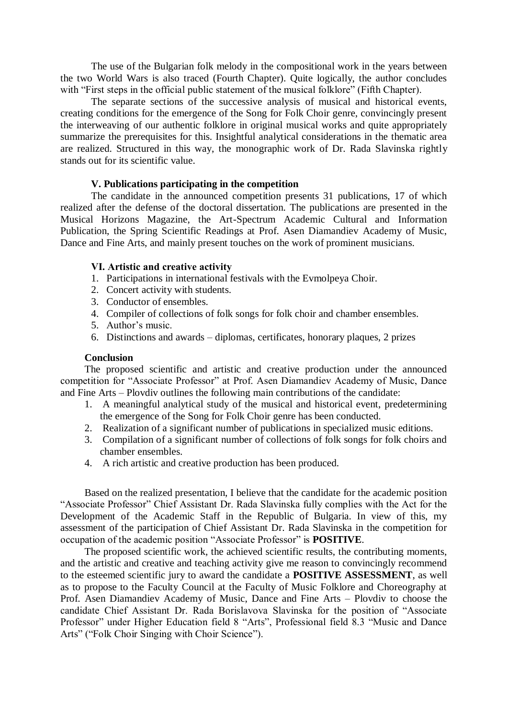The use of the Bulgarian folk melody in the compositional work in the years between the two World Wars is also traced (Fourth Chapter). Quite logically, the author concludes with "First steps in the official public statement of the musical folklore" (Fifth Chapter).

The separate sections of the successive analysis of musical and historical events, creating conditions for the emergence of the Song for Folk Choir genre, convincingly present the interweaving of our authentic folklore in original musical works and quite appropriately summarize the prerequisites for this. Insightful analytical considerations in the thematic area are realized. Structured in this way, the monographic work of Dr. Rada Slavinska rightly stands out for its scientific value.

# **V. Publications participating in the competition**

The candidate in the announced competition presents 31 publications, 17 of which realized after the defense of the doctoral dissertation. The publications are presented in the Musical Horizons Magazine, the Art-Spectrum Academic Cultural and Information Publication, the Spring Scientific Readings at Prof. Asen Diamandiev Academy of Music, Dance and Fine Arts, and mainly present touches on the work of prominent musicians.

# **VІ. Artistic and creative activity**

- 1. Participations in international festivals with the Evmolpeya Choir.
- 2. Concert activity with students.
- 3. Conductor of ensembles.
- 4. Compiler of collections of folk songs for folk choir and chamber ensembles.
- 5. Author's music.
- 6. Distinctions and awards diplomas, certificates, honorary plaques, 2 prizes

# **Conclusion**

The proposed scientific and artistic and creative production under the announced competition for "Associate Professor" at Prof. Asen Diamandiev Academy of Music, Dance and Fine Arts – Plovdiv outlines the following main contributions of the candidate:

- 1. A meaningful analytical study of the musical and historical event, predetermining the emergence of the Song for Folk Choir genre has been conducted.
- 2. Realization of a significant number of publications in specialized music editions.
- 3. Compilation of a significant number of collections of folk songs for folk choirs and chamber ensembles.
- 4. A rich artistic and creative production has been produced.

Based on the realized presentation, I believe that the candidate for the academic position "Associate Professor" Chief Assistant Dr. Rada Slavinska fully complies with the Act for the Development of the Academic Staff in the Republic of Bulgaria. In view of this, my assessment of the participation of Chief Assistant Dr. Rada Slavinska in the competition for occupation of the academic position "Associate Professor" is **POSITIVE**.

The proposed scientific work, the achieved scientific results, the contributing moments, and the artistic and creative and teaching activity give me reason to convincingly recommend to the esteemed scientific jury to award the candidate a **POSITIVE ASSESSMENT**, as well as to propose to the Faculty Council at the Faculty of Music Folklore and Choreography at Prof. Asen Diamandiev Academy of Music, Dance and Fine Arts – Plovdiv to choose the candidate Chief Assistant Dr. Rada Borislavova Slavinska for the position of "Associate Professor" under Higher Education field 8 "Arts", Professional field 8.3 "Music and Dance Arts" ("Folk Choir Singing with Choir Science").